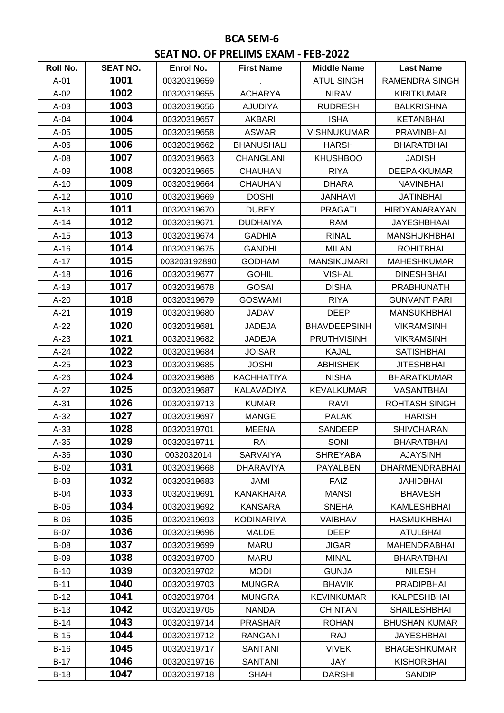## **BCA SEM-6 SEAT NO. OF PRELIMS EXAM - FEB-2022**

| Roll No.    | <b>SEAT NO.</b> | Enrol No.    | <b>First Name</b> | <b>Middle Name</b>  | <b>Last Name</b>      |
|-------------|-----------------|--------------|-------------------|---------------------|-----------------------|
| $A-01$      | 1001            | 00320319659  |                   | <b>ATUL SINGH</b>   | <b>RAMENDRA SINGH</b> |
| $A-02$      | 1002            | 00320319655  | <b>ACHARYA</b>    | <b>NIRAV</b>        | <b>KIRITKUMAR</b>     |
| $A-03$      | 1003            | 00320319656  | <b>AJUDIYA</b>    | <b>RUDRESH</b>      | <b>BALKRISHNA</b>     |
| $A-04$      | 1004            | 00320319657  | <b>AKBARI</b>     | <b>ISHA</b>         | <b>KETANBHAI</b>      |
| $A-05$      | 1005            | 00320319658  | <b>ASWAR</b>      | <b>VISHNUKUMAR</b>  | <b>PRAVINBHAI</b>     |
| $A-06$      | 1006            | 00320319662  | <b>BHANUSHALI</b> | <b>HARSH</b>        | <b>BHARATBHAI</b>     |
| $A-08$      | 1007            | 00320319663  | <b>CHANGLANI</b>  | <b>KHUSHBOO</b>     | <b>JADISH</b>         |
| $A-09$      | 1008            | 00320319665  | <b>CHAUHAN</b>    | <b>RIYA</b>         | <b>DEEPAKKUMAR</b>    |
| $A-10$      | 1009            | 00320319664  | <b>CHAUHAN</b>    | <b>DHARA</b>        | <b>NAVINBHAI</b>      |
| $A-12$      | 1010            | 00320319669  | <b>DOSHI</b>      | <b>JANHAVI</b>      | <b>JATINBHAI</b>      |
| $A-13$      | 1011            | 00320319670  | <b>DUBEY</b>      | <b>PRAGATI</b>      | <b>HIRDYANARAYAN</b>  |
| $A-14$      | 1012            | 00320319671  | <b>DUDHAIYA</b>   | <b>RAM</b>          | <b>JAYESHBHAAI</b>    |
| $A-15$      | 1013            | 00320319674  | <b>GADHIA</b>     | <b>RINAL</b>        | <b>MANSHUKHBHAI</b>   |
| $A-16$      | 1014            | 00320319675  | <b>GANDHI</b>     | <b>MILAN</b>        | <b>ROHITBHAI</b>      |
| $A-17$      | 1015            | 003203192890 | <b>GODHAM</b>     | <b>MANSIKUMARI</b>  | <b>MAHESHKUMAR</b>    |
| $A-18$      | 1016            | 00320319677  | <b>GOHIL</b>      | <b>VISHAL</b>       | <b>DINESHBHAI</b>     |
| $A-19$      | 1017            | 00320319678  | <b>GOSAI</b>      | <b>DISHA</b>        | <b>PRABHUNATH</b>     |
| A-20        | 1018            | 00320319679  | <b>GOSWAMI</b>    | <b>RIYA</b>         | <b>GUNVANT PARI</b>   |
| $A-21$      | 1019            | 00320319680  | <b>JADAV</b>      | <b>DEEP</b>         | <b>MANSUKHBHAI</b>    |
| $A-22$      | 1020            | 00320319681  | <b>JADEJA</b>     | <b>BHAVDEEPSINH</b> | <b>VIKRAMSINH</b>     |
| $A-23$      | 1021            | 00320319682  | <b>JADEJA</b>     | <b>PRUTHVISINH</b>  | <b>VIKRAMSINH</b>     |
| $A-24$      | 1022            | 00320319684  | <b>JOISAR</b>     | <b>KAJAL</b>        | <b>SATISHBHAI</b>     |
| $A-25$      | 1023            | 00320319685  | <b>JOSHI</b>      | <b>ABHISHEK</b>     | <b>JITESHBHAI</b>     |
| $A-26$      | 1024            | 00320319686  | <b>KACHHATIYA</b> | <b>NISHA</b>        | <b>BHARATKUMAR</b>    |
| $A-27$      | 1025            | 00320319687  | KALAVADIYA        | <b>KEVALKUMAR</b>   | <b>VASANTBHAI</b>     |
| $A-31$      | 1026            | 00320319713  | <b>KUMAR</b>      | RAVI                | <b>ROHTASH SINGH</b>  |
| $A-32$      | 1027            | 00320319697  | <b>MANGE</b>      | <b>PALAK</b>        | <b>HARISH</b>         |
| $A-33$      | 1028            | 00320319701  | <b>MEENA</b>      | SANDEEP             | <b>SHIVCHARAN</b>     |
| $A-35$      | 1029            | 00320319711  | RAI               | SONI                | <b>BHARATBHAI</b>     |
| $A-36$      | 1030            | 0032032014   | <b>SARVAIYA</b>   | <b>SHREYABA</b>     | <b>AJAYSINH</b>       |
| $B-02$      | 1031            | 00320319668  | <b>DHARAVIYA</b>  | <b>PAYALBEN</b>     | <b>DHARMENDRABHAI</b> |
| $B-03$      | 1032            | 00320319683  | JAMI              | <b>FAIZ</b>         | <b>JAHIDBHAI</b>      |
| <b>B-04</b> | 1033            | 00320319691  | KANAKHARA         | <b>MANSI</b>        | <b>BHAVESH</b>        |
| $B-05$      | 1034            | 00320319692  | <b>KANSARA</b>    | <b>SNEHA</b>        | KAMLESHBHAI           |
| $B-06$      | 1035            | 00320319693  | <b>KODINARIYA</b> | <b>VAIBHAV</b>      | HASMUKHBHAI           |
| $B-07$      | 1036            | 00320319696  | <b>MALDE</b>      | DEEP                | <b>ATULBHAI</b>       |
| <b>B-08</b> | 1037            | 00320319699  | <b>MARU</b>       | <b>JIGAR</b>        | <b>MAHENDRABHAI</b>   |
| <b>B-09</b> | 1038            | 00320319700  | MARU              | <b>MINAL</b>        | <b>BHARATBHAI</b>     |
| $B-10$      | 1039            | 00320319702  | <b>MODI</b>       | <b>GUNJA</b>        | <b>NILESH</b>         |
| $B-11$      | 1040            | 00320319703  | <b>MUNGRA</b>     | <b>BHAVIK</b>       | <b>PRADIPBHAI</b>     |
| $B-12$      | 1041            | 00320319704  | <b>MUNGRA</b>     | <b>KEVINKUMAR</b>   | <b>KALPESHBHAI</b>    |
| $B-13$      | 1042            | 00320319705  | <b>NANDA</b>      | <b>CHINTAN</b>      | <b>SHAILESHBHAI</b>   |
| $B-14$      | 1043            | 00320319714  | <b>PRASHAR</b>    | <b>ROHAN</b>        | <b>BHUSHAN KUMAR</b>  |
| $B-15$      | 1044            | 00320319712  | <b>RANGANI</b>    | <b>RAJ</b>          | <b>JAYESHBHAI</b>     |
| $B-16$      | 1045            | 00320319717  | <b>SANTANI</b>    | <b>VIVEK</b>        | <b>BHAGESHKUMAR</b>   |
| $B-17$      | 1046            | 00320319716  | <b>SANTANI</b>    | JAY                 | <b>KISHORBHAI</b>     |
| $B-18$      | 1047            | 00320319718  | <b>SHAH</b>       | <b>DARSHI</b>       | <b>SANDIP</b>         |